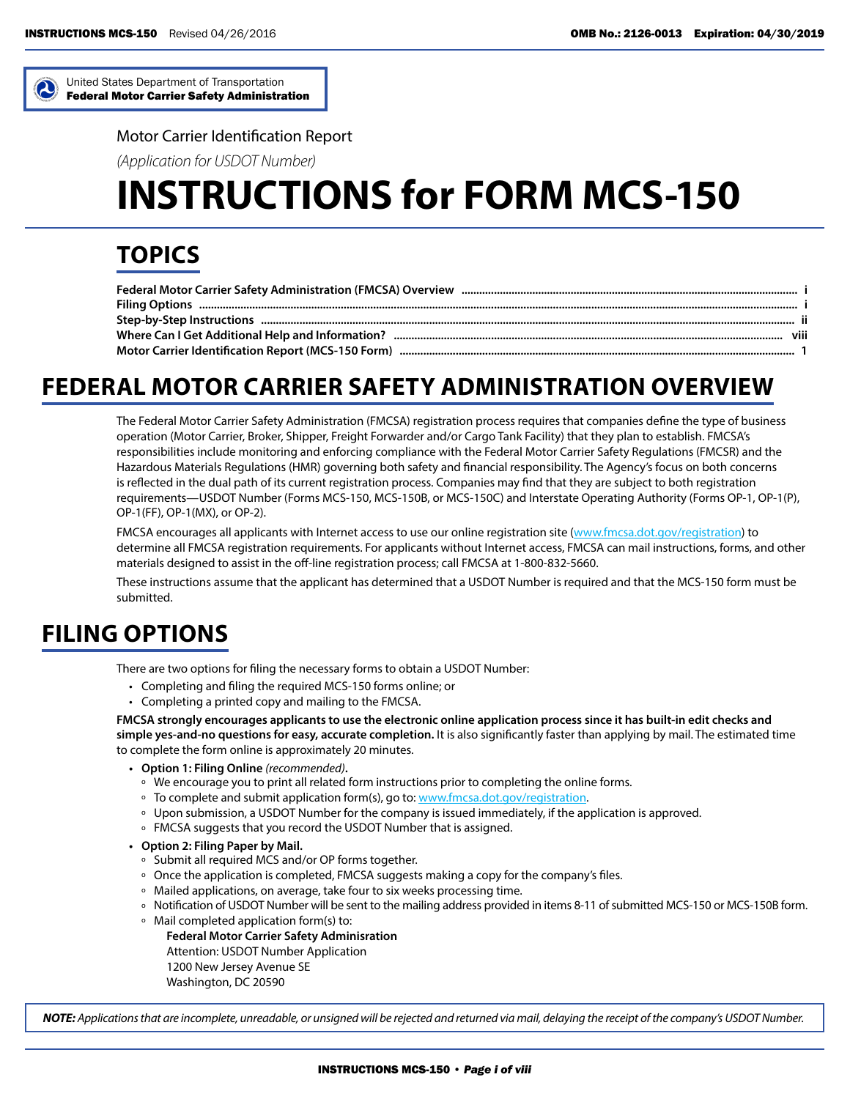

### Motor Carrier Identification Report

*(Application for USDOT Number)*

# **INSTRUCTIONS for FORM MCS-150**

## **TOPICS**

| viii |  |
|------|--|
|      |  |

### **FEDERAL MOTOR CARRIER SAFETY ADMINISTRATION OVERVIEW**

The Federal Motor Carrier Safety Administration (FMCSA) registration process requires that companies define the type of business operation (Motor Carrier, Broker, Shipper, Freight Forwarder and/or Cargo Tank Facility) that they plan to establish. FMCSA's responsibilities include monitoring and enforcing compliance with the Federal Motor Carrier Safety Regulations (FMCSR) and the Hazardous Materials Regulations (HMR) governing both safety and financial responsibility. The Agency's focus on both concerns is reflected in the dual path of its current registration process. Companies may find that they are subject to both registration requirements—USDOT Number (Forms MCS-150, MCS-150B, or MCS-150C) and Interstate Operating Authority (Forms OP-1, OP-1(P), OP-1(FF), OP-1(MX), or OP-2).

FMCSA encourages all applicants with Internet access to use our online registration site [\(www.fmcsa.dot.gov/registration](https://www.fmcsa.dot.gov/registration)) to determine all FMCSA registration requirements. For applicants without Internet access, FMCSA can mail instructions, forms, and other materials designed to assist in the off-line registration process; call FMCSA at 1-800-832-5660.

These instructions assume that the applicant has determined that a USDOT Number is required and that the MCS-150 form must be submitted.

### **FILING OPTIONS**

There are two options for filing the necessary forms to obtain a USDOT Number:

- Completing and filing the required MCS-150 forms online; or
- Completing a printed copy and mailing to the FMCSA.

**FMCSA strongly encourages applicants to use the electronic online application process since it has built-in edit checks and simple yes-and-no questions for easy, accurate completion.** It is also significantly faster than applying by mail. The estimated time to complete the form online is approximately 20 minutes.

- **Option 1: Filing Online** *(recommended)***.**
	- <sup>o</sup> We encourage you to print all related form instructions prior to completing the online forms.
	- <sup>o</sup> To complete and submit application form(s), go to: [www.fmcsa.dot.gov/registration.](http://www.fmcsa.dot.gov/registration)
	- <sup>o</sup> Upon submission, a USDOT Number for the company is issued immediately, if the application is approved.
	- <sup>o</sup> FMCSA suggests that you record the USDOT Number that is assigned.
- **Option 2: Filing Paper by Mail.**
	- <sup>o</sup> Submit all required MCS and/or OP forms together.
	- <sup>o</sup> Once the application is completed, FMCSA suggests making a copy for the company's files.
	- <sup>o</sup> Mailed applications, on average, take four to six weeks processing time.
	- <sup>o</sup> Notification of USDOT Number will be sent to the mailing address provided in items 8-11 of submitted MCS-150 or MCS-150B form.
	- <sup>o</sup> Mail completed application form(s) to:

 **Federal Motor Carrier Safety Adminisration** Attention: USDOT Number Application 1200 New Jersey Avenue SE Washington, DC 20590

*NOTE: Applications that are incomplete, unreadable, or unsigned will be rejected and returned via mail, delaying the receipt of the company's USDOT Number.*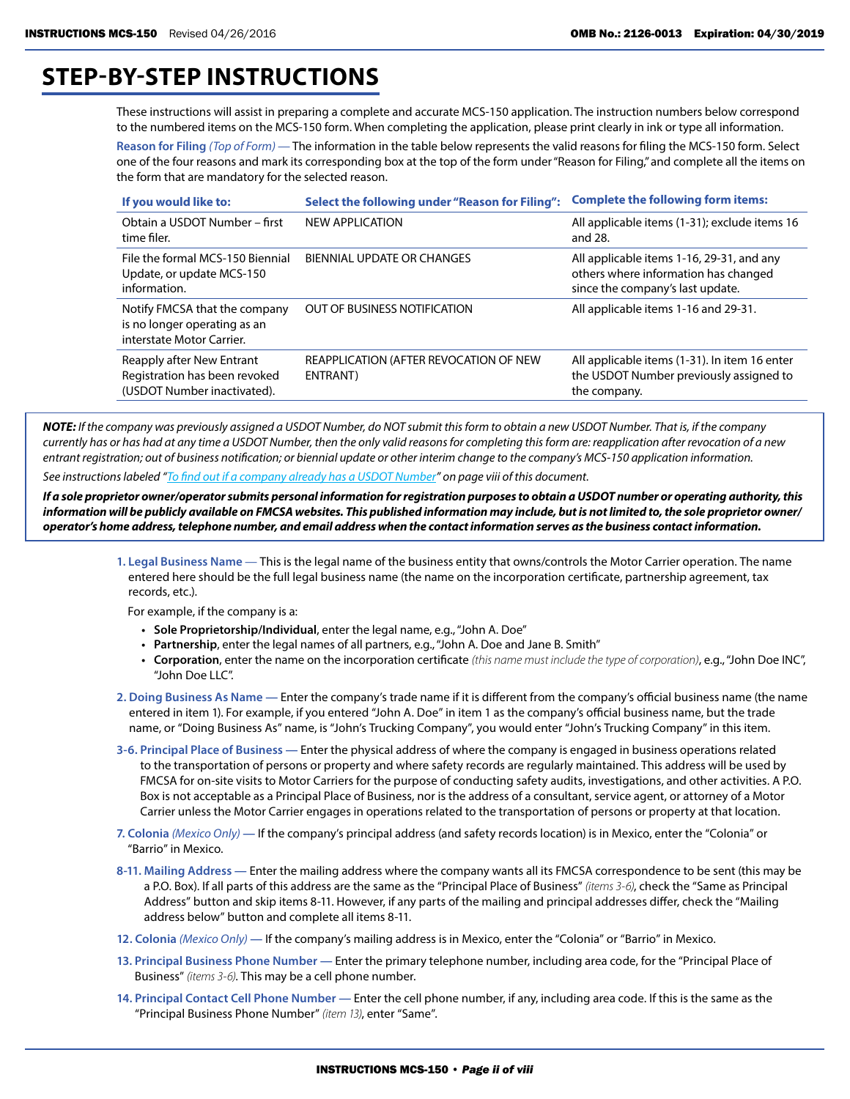### <span id="page-1-0"></span>**STEP-BY-STEP INSTRUCTIONS**

These instructions will assist in preparing a complete and accurate MCS-150 application. The instruction numbers below correspond to the numbered items on the MCS-150 form. When completing the application, please print clearly in ink or type all information.

**Reason for Filing** *(Top of Form)* — The information in the table below represents the valid reasons for filing the MCS-150 form. Select one of the four reasons and mark its corresponding box at the top of the form under "Reason for Filing," and complete all the items on the form that are mandatory for the selected reason.

| If you would like to:                                                                      | Select the following under "Reason for Filing":    | <b>Complete the following form items:</b>                                                                             |
|--------------------------------------------------------------------------------------------|----------------------------------------------------|-----------------------------------------------------------------------------------------------------------------------|
| Obtain a USDOT Number - first<br>time filer.                                               | NEW APPLICATION                                    | All applicable items (1-31); exclude items 16<br>and 28.                                                              |
| File the formal MCS-150 Biennial<br>Update, or update MCS-150<br>information.              | BIENNIAL UPDATE OR CHANGES                         | All applicable items 1-16, 29-31, and any<br>others where information has changed<br>since the company's last update. |
| Notify FMCSA that the company<br>is no longer operating as an<br>interstate Motor Carrier. | <b>OUT OF BUSINESS NOTIFICATION</b>                | All applicable items 1-16 and 29-31.                                                                                  |
| Reapply after New Entrant<br>Registration has been revoked<br>(USDOT Number inactivated).  | REAPPLICATION (AFTER REVOCATION OF NEW<br>ENTRANT) | All applicable items (1-31). In item 16 enter<br>the USDOT Number previously assigned to<br>the company.              |

*NOTE: If the company was previously assigned a USDOT Number, do NOT submit this form to obtain a new USDOT Number. That is, if the company currently has or has had at any time a USDOT Number, then the only valid reasons for completing this form are: reapplication after revocation of a new entrant registration; out of business notification; or biennial update or other interim change to the company's MCS-150 application information.*

*See instructions labeled ["To find out if a company already has a USDOT Number](#page-7-0)" on page viii of this document.*

*If a sole proprietor owner/operator submits personal information for registration purposes to obtain a USDOT number or operating authority, this information will be publicly available on FMCSA websites. This published information may include, but is not limited to, the sole proprietor owner/ operator's home address, telephone number, and email address when the contact information serves as the business contact information.*

**1. Legal Business Name** — This is the legal name of the business entity that owns/controls the Motor Carrier operation. The name entered here should be the full legal business name (the name on the incorporation certificate, partnership agreement, tax records, etc.).

For example, if the company is a:

- **Sole Proprietorship/Individual**, enter the legal name, e.g., "John A. Doe"
- **Partnership**, enter the legal names of all partners, e.g., "John A. Doe and Jane B. Smith"
- **Corporation**, enter the name on the incorporation certificate *(this name must include the type of corporation)*, e.g., "John Doe INC", "John Doe LLC".
- **2. Doing Business As Name** Enter the company's trade name if it is different from the company's official business name (the name entered in item 1). For example, if you entered "John A. Doe" in item 1 as the company's official business name, but the trade name, or "Doing Business As" name, is "John's Trucking Company", you would enter "John's Trucking Company" in this item.
- **3-6. Principal Place of Business** Enter the physical address of where the company is engaged in business operations related to the transportation of persons or property and where safety records are regularly maintained. This address will be used by FMCSA for on-site visits to Motor Carriers for the purpose of conducting safety audits, investigations, and other activities. A P.O. Box is not acceptable as a Principal Place of Business, nor is the address of a consultant, service agent, or attorney of a Motor Carrier unless the Motor Carrier engages in operations related to the transportation of persons or property at that location.
- **7. Colonia** *(Mexico Only)*If the company's principal address (and safety records location) is in Mexico, enter the "Colonia" or "Barrio" in Mexico.
- **8-11. Mailing Address** Enter the mailing address where the company wants all its FMCSA correspondence to be sent (this may be a P.O. Box). If all parts of this address are the same as the "Principal Place of Business" *(items 3-6)*, check the "Same as Principal Address" button and skip items 8-11. However, if any parts of the mailing and principal addresses differ, check the "Mailing address below" button and complete all items 8-11.
- **12. Colonia** *(Mexico Only)*If the company's mailing address is in Mexico, enter the "Colonia" or "Barrio" in Mexico.
- **13. Principal Business Phone Number** Enter the primary telephone number, including area code, for the "Principal Place of Business" *(items 3-6)*. This may be a cell phone number.
- **14. Principal Contact Cell Phone Number** Enter the cell phone number, if any, including area code. If this is the same as the "Principal Business Phone Number" *(item 13)*, enter "Same".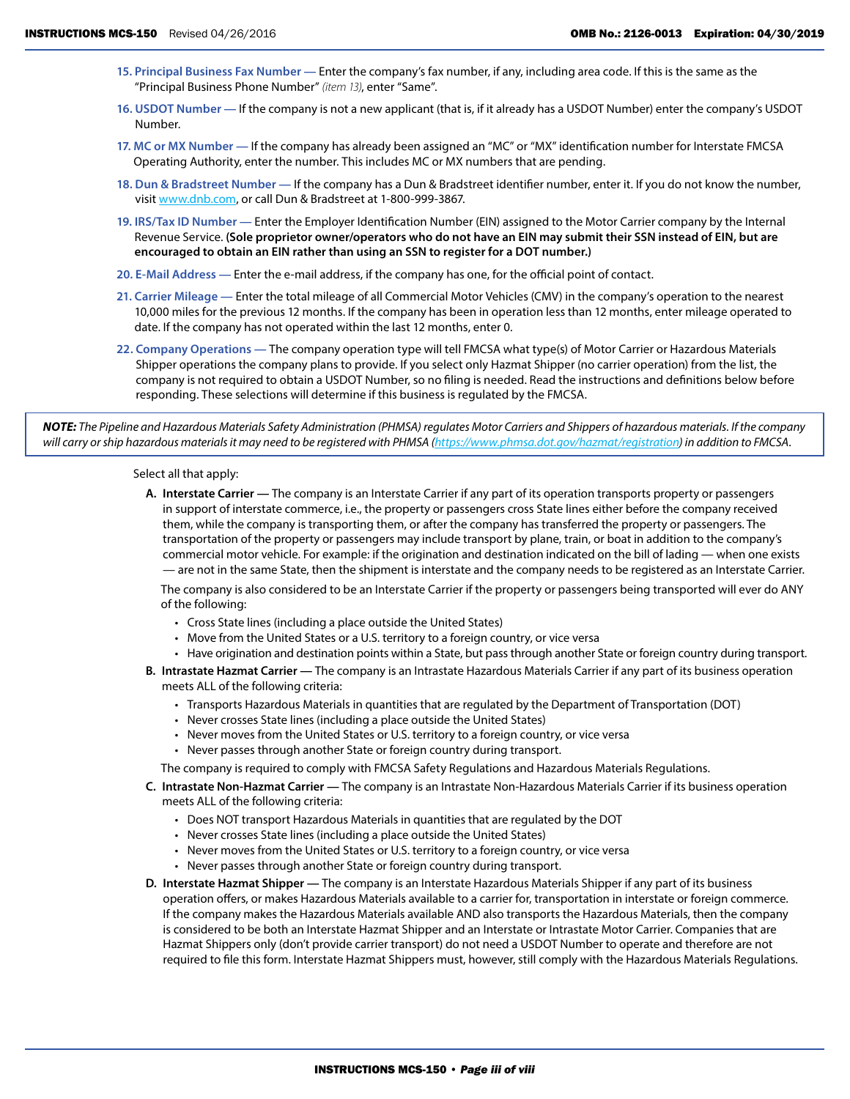- **15. Principal Business Fax Number** Enter the company's fax number, if any, including area code. If this is the same as the "Principal Business Phone Number" *(item 13)*, enter "Same".
- **16. USDOT Number** If the company is not a new applicant (that is, if it already has a USDOT Number) enter the company's USDOT Number.
- **17. MC or MX Number** If the company has already been assigned an "MC" or "MX" identification number for Interstate FMCSA Operating Authority, enter the number. This includes MC or MX numbers that are pending.
- **18. Dun & Bradstreet Number** If the company has a Dun & Bradstreet identifier number, enter it. If you do not know the number, visit [www.dnb.com](http://www.dnb.com), or call Dun & Bradstreet at 1-800-999-3867.
- **19. IRS/Tax ID Number** Enter the Employer Identification Number (EIN) assigned to the Motor Carrier company by the Internal Revenue Service. **(Sole proprietor owner/operators who do not have an EIN may submit their SSN instead of EIN, but are encouraged to obtain an EIN rather than using an SSN to register for a DOT number.)**
- **20. E-Mail Address** Enter the e-mail address, if the company has one, for the official point of contact.
- **21. Carrier Mileage** Enter the total mileage of all Commercial Motor Vehicles (CMV) in the company's operation to the nearest 10,000 miles for the previous 12 months. If the company has been in operation less than 12 months, enter mileage operated to date. If the company has not operated within the last 12 months, enter 0.
- **22. Company Operations** The company operation type will tell FMCSA what type(s) of Motor Carrier or Hazardous Materials Shipper operations the company plans to provide. If you select only Hazmat Shipper (no carrier operation) from the list, the company is not required to obtain a USDOT Number, so no filing is needed. Read the instructions and definitions below before responding. These selections will determine if this business is regulated by the FMCSA.

*NOTE: The Pipeline and Hazardous Materials Safety Administration (PHMSA) regulates Motor Carriers and Shippers of hazardous materials. If the company will carry or ship hazardous materials it may need to be registered with PHMSA [\(https://www.phmsa.dot.gov/hazmat/registration](https://www.phmsa.dot.gov/hazmat/registration)) in addition to FMCSA.*

#### Select all that apply:

**A. Interstate Carrier —** The company is an Interstate Carrier if any part of its operation transports property or passengers in support of interstate commerce, i.e., the property or passengers cross State lines either before the company received them, while the company is transporting them, or after the company has transferred the property or passengers. The transportation of the property or passengers may include transport by plane, train, or boat in addition to the company's commercial motor vehicle. For example: if the origination and destination indicated on the bill of lading — when one exists — are not in the same State, then the shipment is interstate and the company needs to be registered as an Interstate Carrier.

The company is also considered to be an Interstate Carrier if the property or passengers being transported will ever do ANY of the following:

- Cross State lines (including a place outside the United States)
- Move from the United States or a U.S. territory to a foreign country, or vice versa
- Have origination and destination points within a State, but pass through another State or foreign country during transport.
- **B. Intrastate Hazmat Carrier** The company is an Intrastate Hazardous Materials Carrier if any part of its business operation meets ALL of the following criteria:
	- Transports Hazardous Materials in quantities that are regulated by the Department of Transportation (DOT)
	- Never crosses State lines (including a place outside the United States)
	- Never moves from the United States or U.S. territory to a foreign country, or vice versa
	- Never passes through another State or foreign country during transport.

The company is required to comply with FMCSA Safety Regulations and Hazardous Materials Regulations.

- **C. Intrastate Non-Hazmat Carrier** The company is an Intrastate Non-Hazardous Materials Carrier if its business operation meets ALL of the following criteria:
	- Does NOT transport Hazardous Materials in quantities that are regulated by the DOT
	- Never crosses State lines (including a place outside the United States)
	- Never moves from the United States or U.S. territory to a foreign country, or vice versa
	- Never passes through another State or foreign country during transport.
- **D. Interstate Hazmat Shipper** The company is an Interstate Hazardous Materials Shipper if any part of its business operation offers, or makes Hazardous Materials available to a carrier for, transportation in interstate or foreign commerce. If the company makes the Hazardous Materials available AND also transports the Hazardous Materials, then the company is considered to be both an Interstate Hazmat Shipper and an Interstate or Intrastate Motor Carrier. Companies that are Hazmat Shippers only (don't provide carrier transport) do not need a USDOT Number to operate and therefore are not required to file this form. Interstate Hazmat Shippers must, however, still comply with the Hazardous Materials Regulations.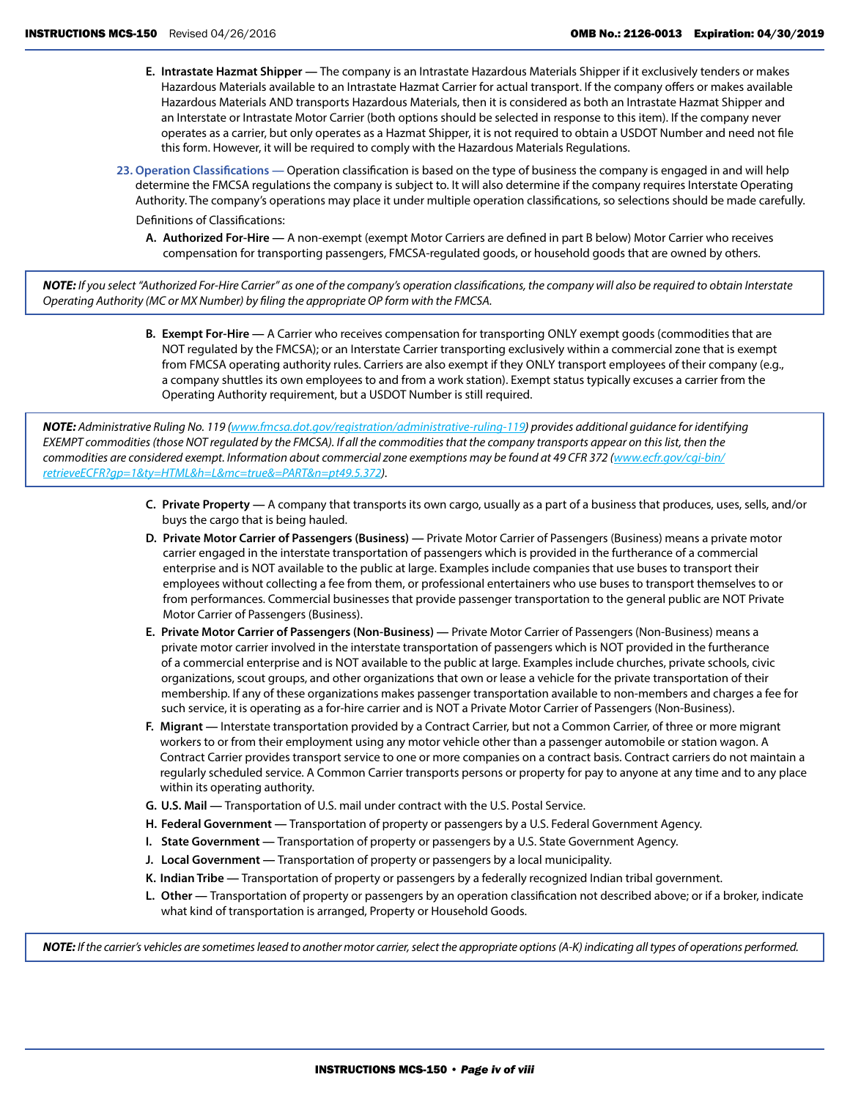- **E. Intrastate Hazmat Shipper** The company is an Intrastate Hazardous Materials Shipper if it exclusively tenders or makes Hazardous Materials available to an Intrastate Hazmat Carrier for actual transport. If the company offers or makes available Hazardous Materials AND transports Hazardous Materials, then it is considered as both an Intrastate Hazmat Shipper and an Interstate or Intrastate Motor Carrier (both options should be selected in response to this item). If the company never operates as a carrier, but only operates as a Hazmat Shipper, it is not required to obtain a USDOT Number and need not file this form. However, it will be required to comply with the Hazardous Materials Regulations.
- **23. Operation Classifications** Operation classification is based on the type of business the company is engaged in and will help determine the FMCSA regulations the company is subject to. It will also determine if the company requires Interstate Operating Authority. The company's operations may place it under multiple operation classifications, so selections should be made carefully.

Definitions of Classifications:

**A. Authorized For-Hire —** A non-exempt (exempt Motor Carriers are defined in part B below) Motor Carrier who receives compensation for transporting passengers, FMCSA-regulated goods, or household goods that are owned by others.

*NOTE: If you select "Authorized For-Hire Carrier" as one of the company's operation classifications, the company will also be required to obtain Interstate Operating Authority (MC or MX Number) by filing the appropriate OP form with the FMCSA.*

> **B. Exempt For-Hire —** A Carrier who receives compensation for transporting ONLY exempt goods (commodities that are NOT regulated by the FMCSA); or an Interstate Carrier transporting exclusively within a commercial zone that is exempt from FMCSA operating authority rules. Carriers are also exempt if they ONLY transport employees of their company (e.g., a company shuttles its own employees to and from a work station). Exempt status typically excuses a carrier from the Operating Authority requirement, but a USDOT Number is still required.

*NOTE: Administrative Ruling No. 119 ([www.fmcsa.dot.gov/registration/administrative-ruling-119](https://www.fmcsa.dot.gov/registration/administrative-ruling-119)) provides additional guidance for identifying EXEMPT commodities (those NOT regulated by the FMCSA). If all the commodities that the company transports appear on this list, then the commodities are considered exempt. Information about commercial zone exemptions may be found at 49 CFR 372 [\(www.ecfr.gov/cgi-bin/](http://www.ecfr.gov/cgi-bin/retrieveECFR?gp=1&ty=HTML&h=L&mc=true&=PART&n=pt49.5.372) [retrieveECFR?gp=1&ty=HTML&h=L&mc=true&=PART&n=pt49.5.372\)](http://www.ecfr.gov/cgi-bin/retrieveECFR?gp=1&ty=HTML&h=L&mc=true&=PART&n=pt49.5.372).*

- **C. Private Property** A company that transports its own cargo, usually as a part of a business that produces, uses, sells, and/or buys the cargo that is being hauled.
- **D. Private Motor Carrier of Passengers (Business)** Private Motor Carrier of Passengers (Business) means a private motor carrier engaged in the interstate transportation of passengers which is provided in the furtherance of a commercial enterprise and is NOT available to the public at large. Examples include companies that use buses to transport their employees without collecting a fee from them, or professional entertainers who use buses to transport themselves to or from performances. Commercial businesses that provide passenger transportation to the general public are NOT Private Motor Carrier of Passengers (Business).
- **E. Private Motor Carrier of Passengers (Non-Business)** Private Motor Carrier of Passengers (Non-Business) means a private motor carrier involved in the interstate transportation of passengers which is NOT provided in the furtherance of a commercial enterprise and is NOT available to the public at large. Examples include churches, private schools, civic organizations, scout groups, and other organizations that own or lease a vehicle for the private transportation of their membership. If any of these organizations makes passenger transportation available to non-members and charges a fee for such service, it is operating as a for-hire carrier and is NOT a Private Motor Carrier of Passengers (Non-Business).
- **F. Migrant** Interstate transportation provided by a Contract Carrier, but not a Common Carrier, of three or more migrant workers to or from their employment using any motor vehicle other than a passenger automobile or station wagon. A Contract Carrier provides transport service to one or more companies on a contract basis. Contract carriers do not maintain a regularly scheduled service. A Common Carrier transports persons or property for pay to anyone at any time and to any place within its operating authority.
- **G. U.S. Mail** Transportation of U.S. mail under contract with the U.S. Postal Service.
- **H. Federal Government** Transportation of property or passengers by a U.S. Federal Government Agency.
- **I. State Government** Transportation of property or passengers by a U.S. State Government Agency.
- **J. Local Government** Transportation of property or passengers by a local municipality.
- **K. Indian Tribe** Transportation of property or passengers by a federally recognized Indian tribal government.
- **L. Other** Transportation of property or passengers by an operation classification not described above; or if a broker, indicate what kind of transportation is arranged, Property or Household Goods.

*NOTE: If the carrier's vehicles are sometimes leased to another motor carrier, select the appropriate options (A-K) indicating all types of operations performed.*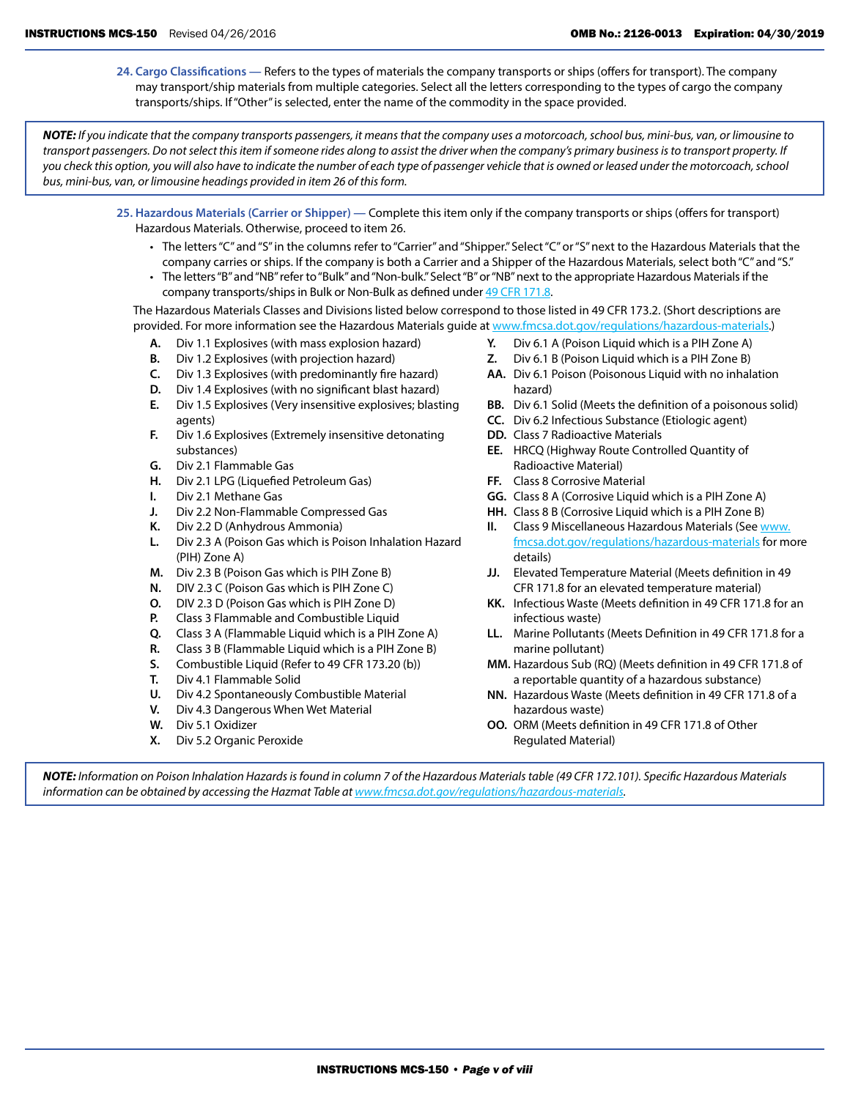**24. Cargo Classifications —** Refers to the types of materials the company transports or ships (offers for transport). The company may transport/ship materials from multiple categories. Select all the letters corresponding to the types of cargo the company transports/ships. If "Other" is selected, enter the name of the commodity in the space provided.

*NOTE: If you indicate that the company transports passengers, it means that the company uses a motorcoach, school bus, mini-bus, van, or limousine to*  transport passengers. Do not select this item if someone rides along to assist the driver when the company's primary business is to transport property. If *you check this option, you will also have to indicate the number of each type of passenger vehicle that is owned or leased under the motorcoach, school bus, mini-bus, van, or limousine headings provided in item 26 of this form.*

**25. Hazardous Materials (Carrier or Shipper) —** Complete this item only if the company transports or ships (offers for transport) Hazardous Materials. Otherwise, proceed to item 26.

- The letters "C" and "S" in the columns refer to "Carrier" and "Shipper." Select "C" or "S" next to the Hazardous Materials that the company carries or ships. If the company is both a Carrier and a Shipper of the Hazardous Materials, select both "C" and "S."
- The letters "B" and "NB" refer to "Bulk" and "Non-bulk." Select "B" or "NB" next to the appropriate Hazardous Materials if the company transports/ships in Bulk or Non-Bulk as defined under [49 CFR 171.8.](https://www.gpo.gov/fdsys/granule/CFR-2011-title49-vol2/CFR-2011-title49-vol2-sec171-8)

The Hazardous Materials Classes and Divisions listed below correspond to those listed in 49 CFR 173.2. (Short descriptions are provided. For more information see the Hazardous Materials guide at [www.fmcsa.dot.gov/regulations/hazardous-materials.](https://www.fmcsa.dot.gov/regulations/hazardous-materials))

- **A.** Div 1.1 Explosives (with mass explosion hazard)
- **B.** Div 1.2 Explosives (with projection hazard)
- **C.** Div 1.3 Explosives (with predominantly fire hazard)
- **D.** Div 1.4 Explosives (with no significant blast hazard)
- **E.** Div 1.5 Explosives (Very insensitive explosives; blasting agents)
- **F.** Div 1.6 Explosives (Extremely insensitive detonating substances)
- **G.** Div 2.1 Flammable Gas
- **H.** Div 2.1 LPG (Liquefied Petroleum Gas)
- **I.** Div 2.1 Methane Gas
- **J.** Div 2.2 Non-Flammable Compressed Gas
- **K.** Div 2.2 D (Anhydrous Ammonia)
- **L.** Div 2.3 A (Poison Gas which is Poison Inhalation Hazard (PIH) Zone A)
- **M.** Div 2.3 B (Poison Gas which is PIH Zone B)
- **N.** DIV 2.3 C (Poison Gas which is PIH Zone C)
- **O.** DIV 2.3 D (Poison Gas which is PIH Zone D)
- **P.** Class 3 Flammable and Combustible Liquid
- **Q.** Class 3 A (Flammable Liquid which is a PIH Zone A)
- **R.** Class 3 B (Flammable Liquid which is a PIH Zone B)
- **S.** Combustible Liquid (Refer to 49 CFR 173.20 (b))
- **T.** Div 4.1 Flammable Solid
- **U.** Div 4.2 Spontaneously Combustible Material
- **V.** Div 4.3 Dangerous When Wet Material
- **W.** Div 5.1 Oxidizer
- **X.** Div 5.2 Organic Peroxide
- **Y.** Div 6.1 A (Poison Liquid which is a PIH Zone A)
- **Z.** Div 6.1 B (Poison Liquid which is a PIH Zone B)
- **AA.** Div 6.1 Poison (Poisonous Liquid with no inhalation hazard)
- **BB.** Div 6.1 Solid (Meets the definition of a poisonous solid)
- **CC.** Div 6.2 Infectious Substance (Etiologic agent)
- **DD.** Class 7 Radioactive Materials
- **EE.** HRCQ (Highway Route Controlled Quantity of Radioactive Material)
- **FF.** Class 8 Corrosive Material
- **GG.** Class 8 A (Corrosive Liquid which is a PIH Zone A)
- **HH.** Class 8 B (Corrosive Liquid which is a PIH Zone B)
- **II.** Class 9 Miscellaneous Hazardous Materials (See [www.](https://www.fmcsa.dot.gov/regulations/hazardous-materials) [fmcsa.dot.gov/regulations/hazardous-materials](https://www.fmcsa.dot.gov/regulations/hazardous-materials) for more details)
- **JJ.** Elevated Temperature Material (Meets definition in 49 CFR 171.8 for an elevated temperature material)
- **KK.** Infectious Waste (Meets definition in 49 CFR 171.8 for an infectious waste)
- **LL.** Marine Pollutants (Meets Definition in 49 CFR 171.8 for a marine pollutant)
- **MM.** Hazardous Sub (RQ) (Meets definition in 49 CFR 171.8 of a reportable quantity of a hazardous substance)
- **NN.** Hazardous Waste (Meets definition in 49 CFR 171.8 of a hazardous waste)
- **OO.** ORM (Meets definition in 49 CFR 171.8 of Other Regulated Material)

*NOTE: Information on Poison Inhalation Hazards is found in column 7 of the Hazardous Materials table (49 CFR 172.101). Specific Hazardous Materials*  information can be obtained by accessing the Hazmat Table at *[www.fmcsa.dot.gov/regulations/hazardous-materials](https://www.fmcsa.dot.gov/regulations/hazardous-materials)*.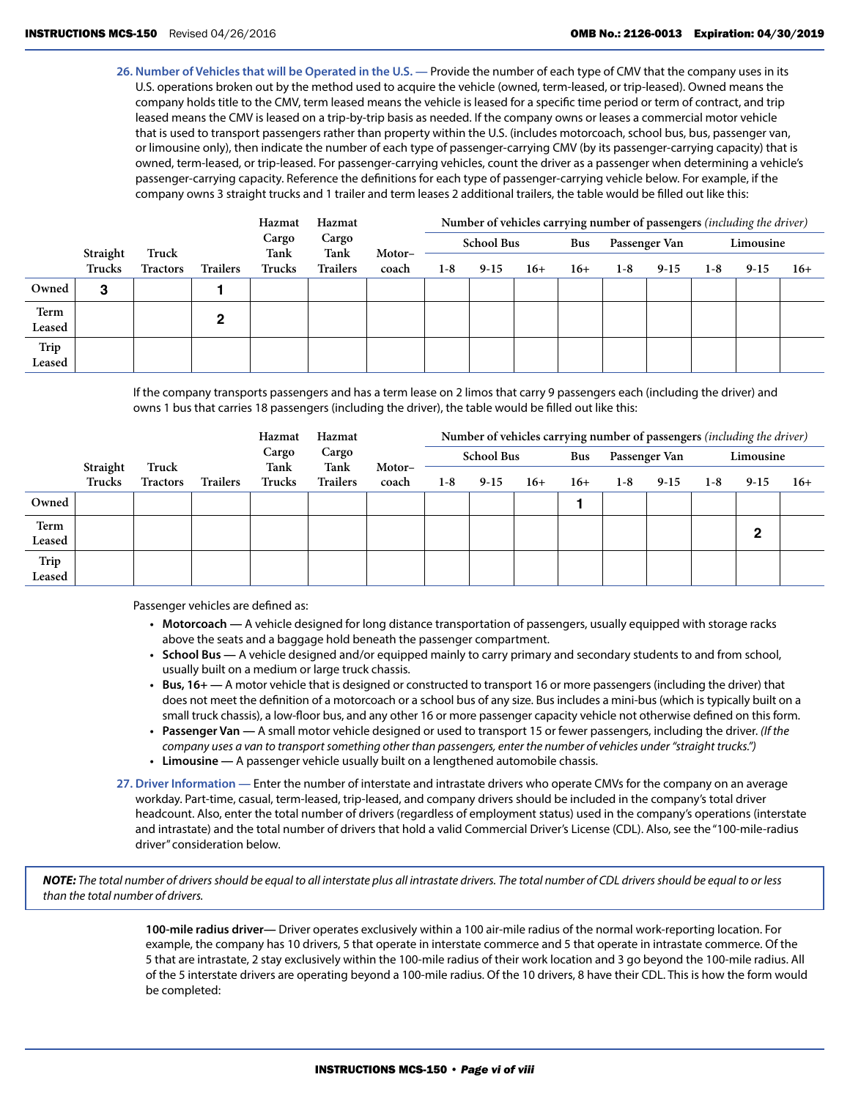**26. Number of Vehicles that will be Operated in the U.S. —** Provide the number of each type of CMV that the company uses in its U.S. operations broken out by the method used to acquire the vehicle (owned, term-leased, or trip-leased). Owned means the company holds title to the CMV, term leased means the vehicle is leased for a specific time period or term of contract, and trip leased means the CMV is leased on a trip-by-trip basis as needed. If the company owns or leases a commercial motor vehicle that is used to transport passengers rather than property within the U.S. (includes motorcoach, school bus, bus, passenger van, or limousine only), then indicate the number of each type of passenger-carrying CMV (by its passenger-carrying capacity) that is owned, term-leased, or trip-leased. For passenger-carrying vehicles, count the driver as a passenger when determining a vehicle's passenger-carrying capacity. Reference the definitions for each type of passenger-carrying vehicle below. For example, if the company owns 3 straight trucks and 1 trailer and term leases 2 additional trailers, the table would be filled out like this:

|                |                    |                          |                 | Hazmat         | Hazmat                                     |       |          |                   |       |            |               |       |        | Number of vehicles carrying number of passengers (including the driver) |  |
|----------------|--------------------|--------------------------|-----------------|----------------|--------------------------------------------|-------|----------|-------------------|-------|------------|---------------|-------|--------|-------------------------------------------------------------------------|--|
|                |                    |                          |                 | Cargo          | Cargo                                      |       |          | <b>School Bus</b> |       | <b>Bus</b> | Passenger Van |       |        | Limousine                                                               |  |
|                | Straight<br>Trucks | Truck<br><b>Tractors</b> | <b>Trailers</b> | Tank<br>Trucks | Tank<br>Motor-<br><b>Trailers</b><br>coach | $1-8$ | $9 - 15$ | $16+$             | $16+$ | $1-8$      | $9-15$        | $1-8$ | $9-15$ | $16+$                                                                   |  |
| Owned          | 3                  |                          |                 |                |                                            |       |          |                   |       |            |               |       |        |                                                                         |  |
| Term<br>Leased |                    |                          | 2               |                |                                            |       |          |                   |       |            |               |       |        |                                                                         |  |
| Trip<br>Leased |                    |                          |                 |                |                                            |       |          |                   |       |            |               |       |        |                                                                         |  |

If the company transports passengers and has a term lease on 2 limos that carry 9 passengers each (including the driver) and owns 1 bus that carries 18 passengers (including the driver), the table would be filled out like this:

|                |                    |                          |                 | Hazmat         | Hazmat                  |                 |       |                   |       |            |               |        |       | Number of vehicles carrying number of passengers (including the driver) |       |
|----------------|--------------------|--------------------------|-----------------|----------------|-------------------------|-----------------|-------|-------------------|-------|------------|---------------|--------|-------|-------------------------------------------------------------------------|-------|
|                |                    |                          |                 | Cargo          | Cargo                   |                 |       | <b>School Bus</b> |       | <b>Bus</b> | Passenger Van |        |       | Limousine                                                               |       |
|                | Straight<br>Trucks | Truck<br><b>Tractors</b> | <b>Trailers</b> | Tank<br>Trucks | Tank<br><b>Trailers</b> | Motor-<br>coach | $1-8$ | $9 - 15$          | $16+$ | $16+$      | $1-8$         | $9-15$ | $1-8$ | $9 - 15$                                                                | $16+$ |
| Owned          |                    |                          |                 |                |                         |                 |       |                   |       |            |               |        |       |                                                                         |       |
| Term<br>Leased |                    |                          |                 |                |                         |                 |       |                   |       |            |               |        |       | 2                                                                       |       |
| Trip<br>Leased |                    |                          |                 |                |                         |                 |       |                   |       |            |               |        |       |                                                                         |       |

Passenger vehicles are defined as:

- **Motorcoach** A vehicle designed for long distance transportation of passengers, usually equipped with storage racks above the seats and a baggage hold beneath the passenger compartment.
- **School Bus** A vehicle designed and/or equipped mainly to carry primary and secondary students to and from school, usually built on a medium or large truck chassis.
- **Bus, 16+** A motor vehicle that is designed or constructed to transport 16 or more passengers (including the driver) that does not meet the definition of a motorcoach or a school bus of any size. Bus includes a mini-bus (which is typically built on a small truck chassis), a low-floor bus, and any other 16 or more passenger capacity vehicle not otherwise defined on this form.
- **Passenger Van** A small motor vehicle designed or used to transport 15 or fewer passengers, including the driver. *(If the company uses a van to transport something other than passengers, enter the number of vehicles under "straight trucks.")*
- **Limousine** A passenger vehicle usually built on a lengthened automobile chassis.
- **27. Driver Information** Enter the number of interstate and intrastate drivers who operate CMVs for the company on an average workday. Part-time, casual, term-leased, trip-leased, and company drivers should be included in the company's total driver headcount. Also, enter the total number of drivers (regardless of employment status) used in the company's operations (interstate and intrastate) and the total number of drivers that hold a valid Commercial Driver's License (CDL). Also, see the "100-mile-radius driver" consideration below.

*NOTE: The total number of drivers should be equal to all interstate plus all intrastate drivers. The total number of CDL drivers should be equal to or less than the total number of drivers.*

> **100-mile radius driver—** Driver operates exclusively within a 100 air-mile radius of the normal work-reporting location. For example, the company has 10 drivers, 5 that operate in interstate commerce and 5 that operate in intrastate commerce. Of the 5 that are intrastate, 2 stay exclusively within the 100-mile radius of their work location and 3 go beyond the 100-mile radius. All of the 5 interstate drivers are operating beyond a 100-mile radius. Of the 10 drivers, 8 have their CDL. This is how the form would be completed: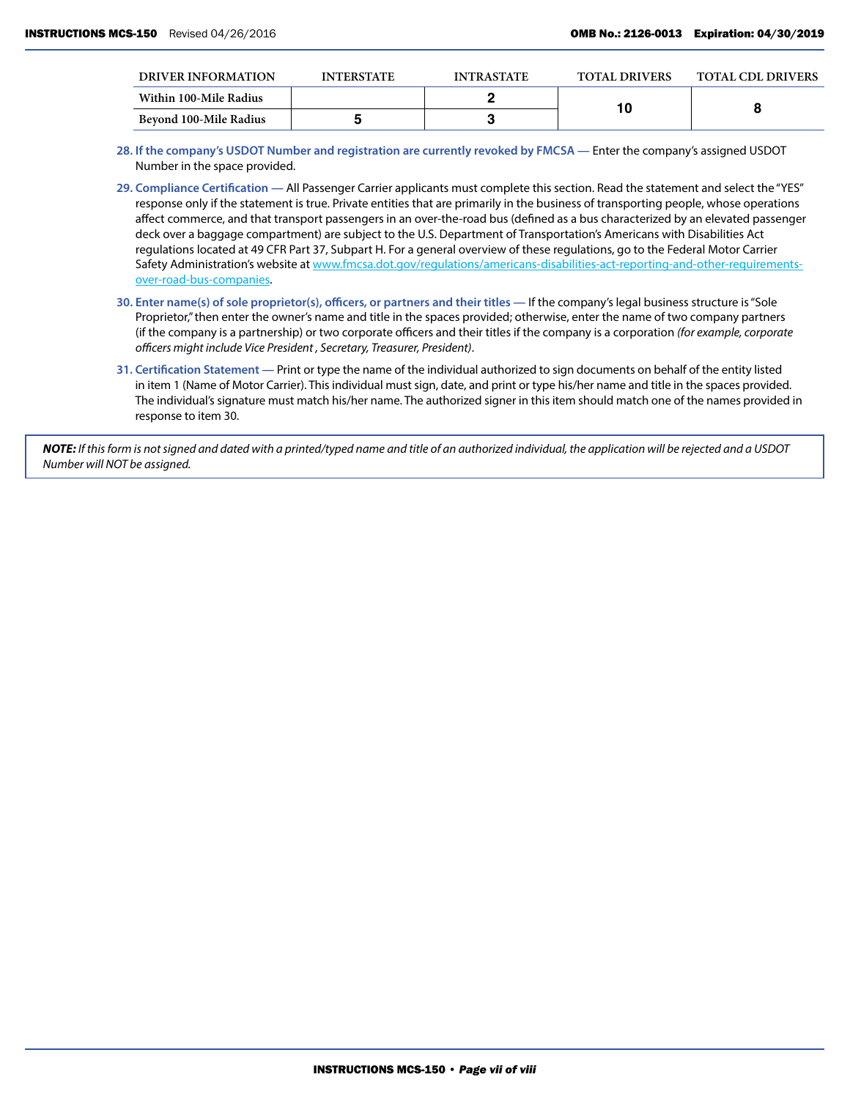| DRIVER INFORMATION            | <b>INTERSTATE</b> | <b>INTRASTATE</b> | <b>TOTAL DRIVERS</b> | <b>TOTAL CDL DRIVERS</b> |
|-------------------------------|-------------------|-------------------|----------------------|--------------------------|
| Within 100-Mile Radius        |                   |                   |                      |                          |
| <b>Bevond 100-Mile Radius</b> |                   |                   | 10                   |                          |

**28. If the company's USDOT Number and registration are currently revoked by FMCSA —** Enter the company's assigned USDOT Number in the space provided.

**29. Compliance Certification —** All Passenger Carrier applicants must complete this section. Read the statement and select the "YES" response only if the statement is true. Private entities that are primarily in the business of transporting people, whose operations affect commerce, and that transport passengers in an over-the-road bus (defined as a bus characterized by an elevated passenger deck over a baggage compartment) are subject to the U.S. Department of Transportation's Americans with Disabilities Act regulations located at 49 CFR Part 37, Subpart H. For a general overview of these regulations, go to the Federal Motor Carrier Safety Administration's website at [www.fmcsa.dot.gov/regulations/americans-disabilities-act-reporting-and-other-requirements](https://www.fmcsa.dot.gov/regulations/americans-disabilities-act-reporting-and-other-requirements-over-road-bus-companies)[over-road-bus-companies](https://www.fmcsa.dot.gov/regulations/americans-disabilities-act-reporting-and-other-requirements-over-road-bus-companies).

- **30. Enter name(s) of sole proprietor(s), officers, or partners and their titles** If the company's legal business structure is "Sole Proprietor," then enter the owner's name and title in the spaces provided; otherwise, enter the name of two company partners (if the company is a partnership) or two corporate officers and their titles if the company is a corporation *(for example, corporate officers might include Vice President , Secretary, Treasurer, President)*.
- **31. Certification Statement** Print or type the name of the individual authorized to sign documents on behalf of the entity listed in item 1 (Name of Motor Carrier). This individual must sign, date, and print or type his/her name and title in the spaces provided. The individual's signature must match his/her name. The authorized signer in this item should match one of the names provided in response to item 30.

*NOTE: If this form is not signed and dated with a printed/typed name and title of an authorized individual, the application will be rejected and a USDOT Number will NOT be assigned.*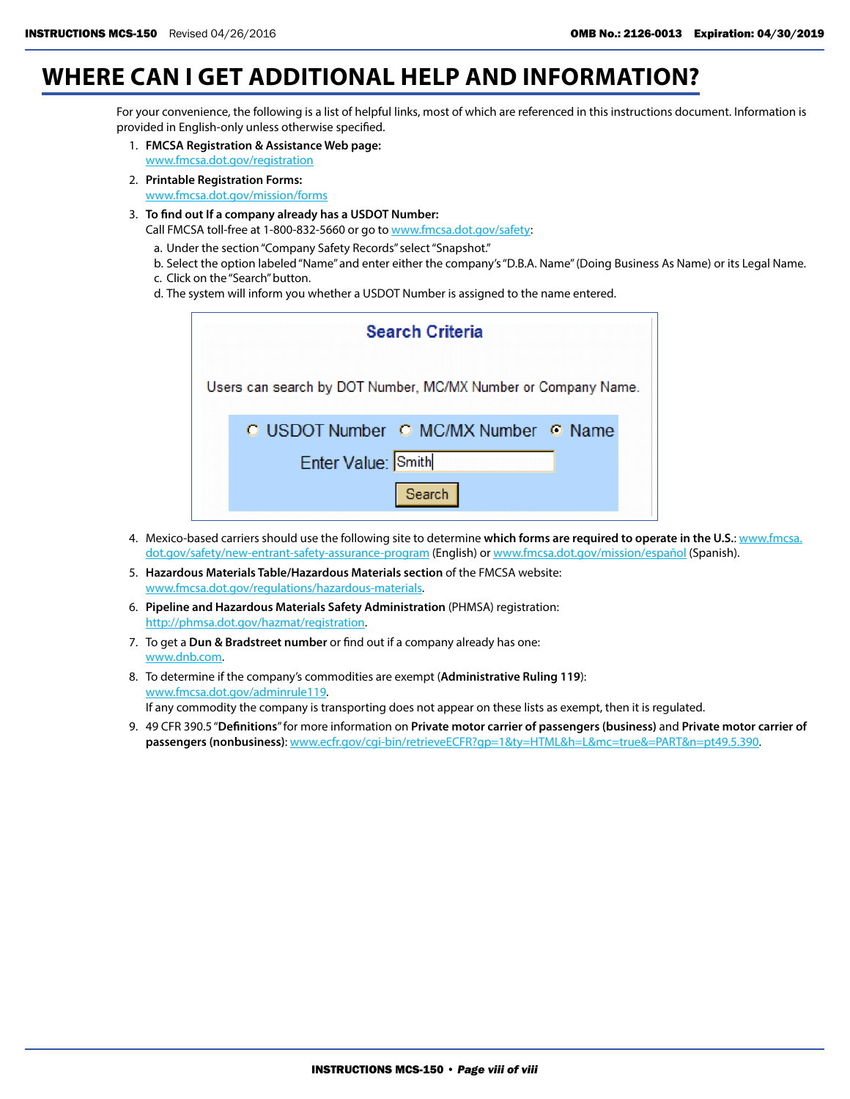### <span id="page-7-0"></span>**WHERE CAN I GET ADDITIONAL HELP AND INFORMATION?**

For your convenience, the following is a list of helpful links, most of which are referenced in this instructions document. Information is provided in English-only unless otherwise specified.

- 1. **FMCSA Registration & Assistance Web page:** [www.fmcsa.dot.gov/registration](https://www.fmcsa.dot.gov/registration)
- 2. **Printable Registration Forms:** [www.fmcsa.dot.gov/mission/forms](https://www.fmcsa.dot.gov/mission/forms)
- 3. **To find out If a company already has a USDOT Number:**

Call FMCSA toll-free at 1-800-832-5660 or go to [www.fmcsa.dot.gov/safety](https://www.fmcsa.dot.gov/safety):

- a. Under the section "Company Safety Records" select "Snapshot."
- b. Select the option labeled "Name" and enter either the company's "D.B.A. Name" (Doing Business As Name) or its Legal Name.
- c. Click on the "Search" button.
- d. The system will inform you whether a USDOT Number is assigned to the name entered.

| <b>Search Criteria</b>                                        |  |  |  |  |  |  |  |  |  |  |
|---------------------------------------------------------------|--|--|--|--|--|--|--|--|--|--|
| Users can search by DOT Number, MC/MX Number or Company Name. |  |  |  |  |  |  |  |  |  |  |
| <b>C USDOT Number C MC/MX Number C Name</b>                   |  |  |  |  |  |  |  |  |  |  |
| Enter Value: Smith                                            |  |  |  |  |  |  |  |  |  |  |
| Search                                                        |  |  |  |  |  |  |  |  |  |  |

- 4. Mexico-based carriers should use the following site to determine **which forms are required to operate in the U.S.**: [www.fmcsa.](https://www.fmcsa.dot.gov/safety/new-entrant-safety-assurance-program) [dot.gov/safety/new-entrant-safety-assurance-program](https://www.fmcsa.dot.gov/safety/new-entrant-safety-assurance-program) (English) or [www.fmcsa.dot.gov/mission/español](https://www.fmcsa.dot.gov/mission/español) (Spanish).
- 5. **Hazardous Materials Table/Hazardous Materials section** of the FMCSA website: [www.fmcsa.dot.gov/regulations/hazardous-materials](https://www.fmcsa.dot.gov/regulations/hazardous-materials).
- 6. **Pipeline and Hazardous Materials Safety Administration** (PHMSA) registration: [http://phmsa.dot.gov/hazmat/registration.](https://phmsa.dot.gov/hazmat/registration)
- 7. To get a **Dun & Bradstreet number** or find out if a company already has one: [www.dnb.com.](http://www.dnb.com)
- 8. To determine if the company's commodities are exempt (**Administrative Ruling 119**): [www.fmcsa.dot.gov/adminrule119](https://www.fmcsa.dot.gov/registration/administrative-ruling-119). If any commodity the company is transporting does not appear on these lists as exempt, then it is regulated.
- 9. 49 CFR 390.5 "**Definitions**" for more information on **Private motor carrier of passengers (business)** and **Private motor carrier of passengers (nonbusiness)**: [www.ecfr.gov/cgi-bin/retrieveECFR?gp=1&ty=HTML&h=L&mc=true&=PART&n=pt49.5.390.](http://www.ecfr.gov/cgi-bin/retrieveECFR?gp=1&ty=HTML&h=L&mc=true&=PART&n=pt49.5.390)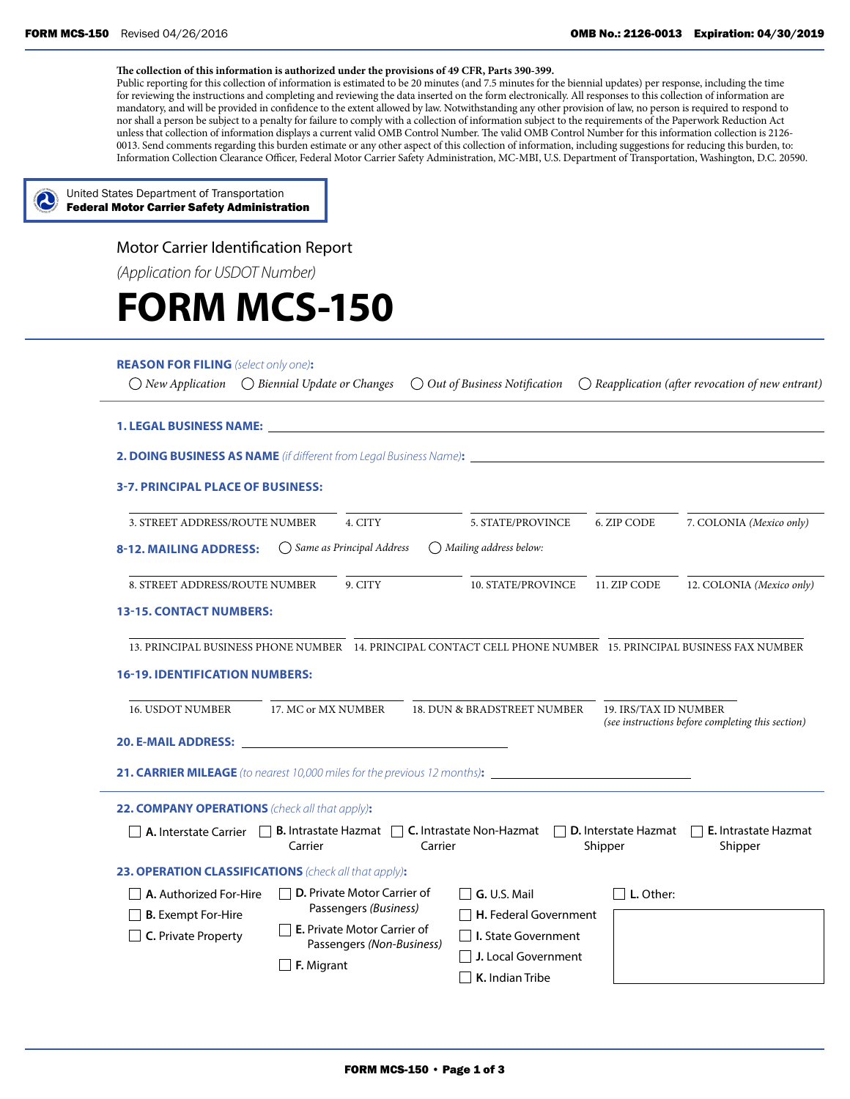#### <span id="page-8-0"></span>**The collection of this information is authorized under the provisions of 49 CFR, Parts 390-399.**

Public reporting for this collection of information is estimated to be 20 minutes (and 7.5 minutes for the biennial updates) per response, including the time for reviewing the instructions and completing and reviewing the data inserted on the form electronically. All responses to this collection of information are mandatory, and will be provided in confidence to the extent allowed by law. Notwithstanding any other provision of law, no person is required to respond to nor shall a person be subject to a penalty for failure to comply with a collection of information subject to the requirements of the Paperwork Reduction Act unless that collection of information displays a current valid OMB Control Number. The valid OMB Control Number for this information collection is 2126- 0013. Send comments regarding this burden estimate or any other aspect of this collection of information, including suggestions for reducing this burden, to: Information Collection Clearance Officer, Federal Motor Carrier Safety Administration, MC-MBI, U.S. Department of Transportation, Washington, D.C. 20590.

United States Department of Transportation Federal Motor Carrier Safety Administration

#### Motor Carrier Identification Report

*(Application for USDOT Number)*

## **FORM MCS-150**

#### **REASON FOR FILING** *(select only one)***:**

*New Application Biennial Update or Changes Out of Business Notification Reapplication (after revocation of new entrant)*

#### **1. LEGAL BUSINESS NAME:**

**2. DOING BUSINESS AS NAME** *(if different from Legal Business Name)***:**

#### **3-7. PRINCIPAL PLACE OF BUSINESS:**

| 3. STREET ADDRESS/ROUTE NUMBER                                                                                |                                        |         |                             |                                        |                                                   |
|---------------------------------------------------------------------------------------------------------------|----------------------------------------|---------|-----------------------------|----------------------------------------|---------------------------------------------------|
|                                                                                                               | 4. CITY                                |         | 5. STATE/PROVINCE           | 6. ZIP CODE                            | 7. COLONIA (Mexico only)                          |
| <b>8-12. MAILING ADDRESS:</b>                                                                                 | Same as Principal Address              |         | Mailing address below:      |                                        |                                                   |
| 8. STREET ADDRESS/ROUTE NUMBER                                                                                | 9. CITY                                |         | 10. STATE/PROVINCE          | 11. ZIP CODE                           | 12. COLONIA (Mexico only)                         |
| <b>13-15. CONTACT NUMBERS:</b>                                                                                |                                        |         |                             |                                        |                                                   |
| 13. PRINCIPAL BUSINESS PHONE NUMBER 14. PRINCIPAL CONTACT CELL PHONE NUMBER 15. PRINCIPAL BUSINESS FAX NUMBER |                                        |         |                             |                                        |                                                   |
| <b>16-19. IDENTIFICATION NUMBERS:</b>                                                                         |                                        |         |                             |                                        |                                                   |
| <b>16. USDOT NUMBER</b>                                                                                       | 17. MC or MX NUMBER                    |         | 18. DUN & BRADSTREET NUMBER | 19. IRS/TAX ID NUMBER                  | (see instructions before completing this section) |
| <b>20. E-MAIL ADDRESS:</b>                                                                                    |                                        |         |                             |                                        |                                                   |
| <b>21. CARRIER MILEAGE</b> (to nearest 10,000 miles for the previous 12 months):                              |                                        |         |                             |                                        |                                                   |
|                                                                                                               |                                        |         |                             |                                        |                                                   |
| 22. COMPANY OPERATIONS (check all that apply):                                                                |                                        |         |                             |                                        |                                                   |
| A. Interstate Carrier                                                                                         | <b>B.</b> Intrastate Hazmat<br>Carrier | Carrier | C. Intrastate Non-Hazmat    | <b>D.</b> Interstate Hazmat<br>Shipper | E. Intrastate Hazmat<br>Shipper                   |
| 23. OPERATION CLASSIFICATIONS (check all that apply):                                                         |                                        |         |                             |                                        |                                                   |

**K.** Indian Tribe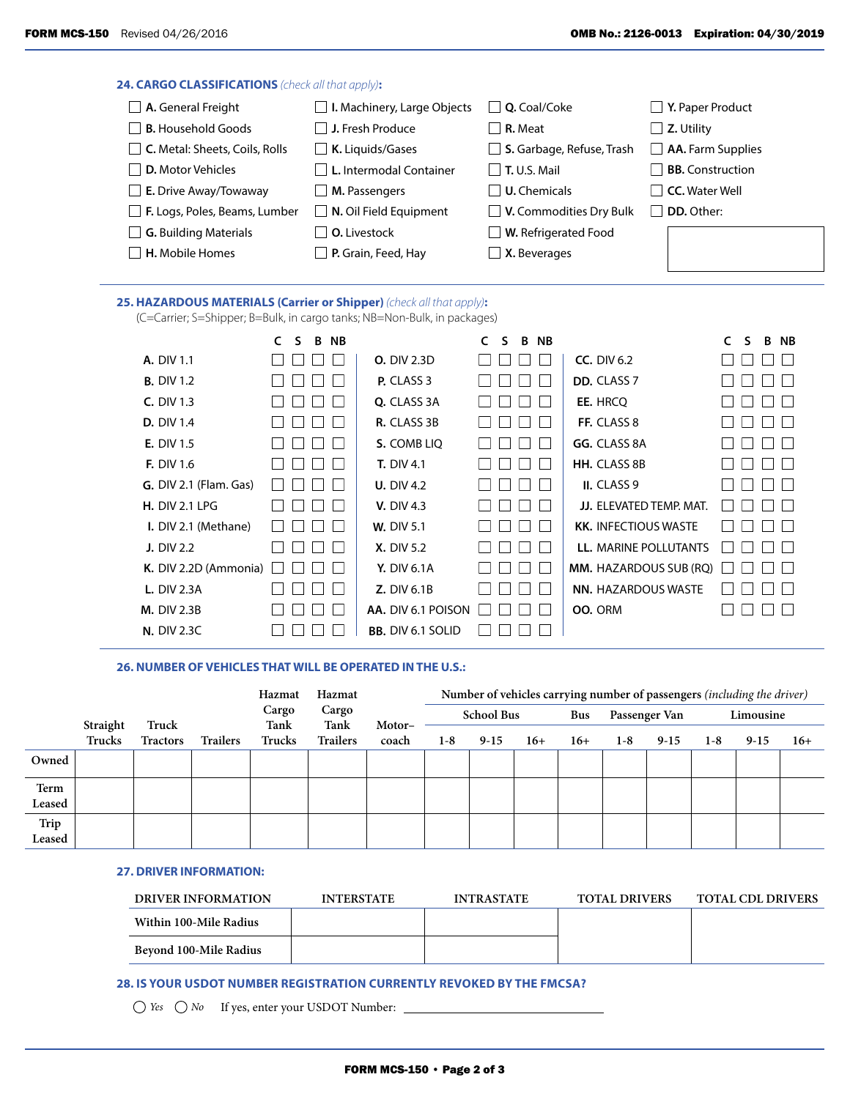| 24. CARGO CLASSIFICATIONS (check all that apply):                                                                                                |        |                  |                             |                          |                             |                          |  |  |
|--------------------------------------------------------------------------------------------------------------------------------------------------|--------|------------------|-----------------------------|--------------------------|-----------------------------|--------------------------|--|--|
| A. General Freight                                                                                                                               |        |                  | I. Machinery, Large Objects | <b>O.</b> Coal/Coke      |                             | Y. Paper Product         |  |  |
| <b>B.</b> Household Goods                                                                                                                        |        |                  | $\Box$ J. Fresh Produce     | R. Meat                  |                             | Z. Utility               |  |  |
| C. Metal: Sheets, Coils, Rolls                                                                                                                   |        | K. Liquids/Gases |                             |                          | S. Garbage, Refuse, Trash   | AA. Farm Supplies        |  |  |
| <b>D.</b> Motor Vehicles                                                                                                                         |        |                  | L. Intermodal Container     | T. U.S. Mail             |                             | <b>BB.</b> Construction  |  |  |
| E. Drive Away/Towaway                                                                                                                            |        |                  | M. Passengers               | <b>U.</b> Chemicals      |                             | <b>CC.</b> Water Well    |  |  |
| F. Logs, Poles, Beams, Lumber                                                                                                                    |        |                  | N. Oil Field Equipment      |                          | V. Commodities Dry Bulk     | DD. Other:               |  |  |
| <b>G.</b> Building Materials                                                                                                                     |        |                  | <b>O.</b> Livestock         | W. Refrigerated Food     |                             |                          |  |  |
| H. Mobile Homes                                                                                                                                  |        |                  | P. Grain, Feed, Hay         | X. Beverages             |                             |                          |  |  |
|                                                                                                                                                  |        |                  |                             |                          |                             |                          |  |  |
|                                                                                                                                                  |        |                  |                             |                          |                             |                          |  |  |
| 25. HAZARDOUS MATERIALS (Carrier or Shipper) (check all that apply):<br>(C=Carrier; S=Shipper; B=Bulk, in cargo tanks; NB=Non-Bulk, in packages) |        |                  |                             |                          |                             |                          |  |  |
|                                                                                                                                                  | C<br>S | <b>NB</b><br>B   |                             | S<br>C<br>B<br><b>NB</b> |                             | C<br>S<br>B<br><b>NB</b> |  |  |
| A. DIV 1.1                                                                                                                                       |        |                  | <b>O.</b> DIV 2.3D          |                          | <b>CC.</b> DIV 6.2          |                          |  |  |
| <b>B.</b> DIV 1.2                                                                                                                                |        |                  | P. CLASS 3                  |                          | DD. CLASS 7                 |                          |  |  |
| $C.$ DIV 1.3                                                                                                                                     |        |                  | Q. CLASS 3A                 |                          | EE. HRCQ                    |                          |  |  |
| <b>D.</b> DIV 1.4                                                                                                                                |        |                  | R. CLASS 3B                 |                          | FF. CLASS 8                 |                          |  |  |
| <b>E.</b> DIV 1.5                                                                                                                                |        |                  | S. COMB LIO                 |                          | GG. CLASS 8A                |                          |  |  |
| <b>F.</b> DIV 1.6                                                                                                                                |        |                  | <b>T. DIV 4.1</b>           |                          | HH. CLASS 8B                |                          |  |  |
| G. DIV 2.1 (Flam. Gas)                                                                                                                           |        |                  | <b>U.</b> DIV 4.2           |                          | II. CLASS 9                 |                          |  |  |
| <b>H. DIV 2.1 LPG</b>                                                                                                                            |        |                  | <b>V.</b> DIV 4.3           |                          | JJ. ELEVATED TEMP. MAT.     |                          |  |  |
| I. DIV 2.1 (Methane)                                                                                                                             |        |                  | <b>W.</b> DIV 5.1           |                          | <b>KK. INFECTIOUS WASTE</b> |                          |  |  |
| $J.$ DIV 2.2                                                                                                                                     |        |                  | <b>X.</b> DIV 5.2           |                          | LL. MARINE POLLUTANTS       |                          |  |  |
| K. DIV 2.2D (Ammonia)                                                                                                                            |        |                  | <b>Y.</b> DIV 6.1A          |                          | MM. HAZARDOUS SUB (RQ)      |                          |  |  |
| <b>L.</b> DIV 2.3A                                                                                                                               |        |                  | <b>Z.</b> DIV 6.1B          |                          | NN. HAZARDOUS WASTE         |                          |  |  |
| M. DIV 2.3B                                                                                                                                      |        |                  | AA. DIV 6.1 POISON          |                          | OO. ORM                     |                          |  |  |

#### **26. NUMBER OF VEHICLES THAT WILL BE OPERATED IN THE U.S.:**

|                |          |                 |                 | Hazmat        | Hazmat          |        |       | Number of vehicles carrying number of passengers (including the driver) |       |            |               |          |       |           |       |
|----------------|----------|-----------------|-----------------|---------------|-----------------|--------|-------|-------------------------------------------------------------------------|-------|------------|---------------|----------|-------|-----------|-------|
|                | Straight | Truck           |                 | Cargo<br>Tank | Cargo<br>Tank   | Motor- |       | <b>School Bus</b>                                                       |       | <b>Bus</b> | Passenger Van |          |       | Limousine |       |
|                | Trucks   | <b>Tractors</b> | <b>Trailers</b> | Trucks        | <b>Trailers</b> | coach  | $1-8$ | $9 - 15$                                                                | $16+$ | $16+$      | $1-8$         | $9 - 15$ | $1-8$ | $9-15$    | $16+$ |
| Owned          |          |                 |                 |               |                 |        |       |                                                                         |       |            |               |          |       |           |       |
| Term<br>Leased |          |                 |                 |               |                 |        |       |                                                                         |       |            |               |          |       |           |       |
| Trip<br>Leased |          |                 |                 |               |                 |        |       |                                                                         |       |            |               |          |       |           |       |

DIV 6.1 SOLID

**BB.**

#### **27. DRIVER INFORMATION:**

**N.** DIV 2.3C

| <b>DRIVER INFORMATION</b>     | <b>INTERSTATE</b> | <b>INTRASTATE</b> | <b>TOTAL DRIVERS</b> | <b>TOTAL CDL DRIVERS</b> |
|-------------------------------|-------------------|-------------------|----------------------|--------------------------|
| Within 100-Mile Radius        |                   |                   |                      |                          |
| <b>Bevond 100-Mile Radius</b> |                   |                   |                      |                          |

#### **28. IS YOUR USDOT NUMBER REGISTRATION CURRENTLY REVOKED BY THE FMCSA?**

*Yes No* If yes, enter your USDOT Number: